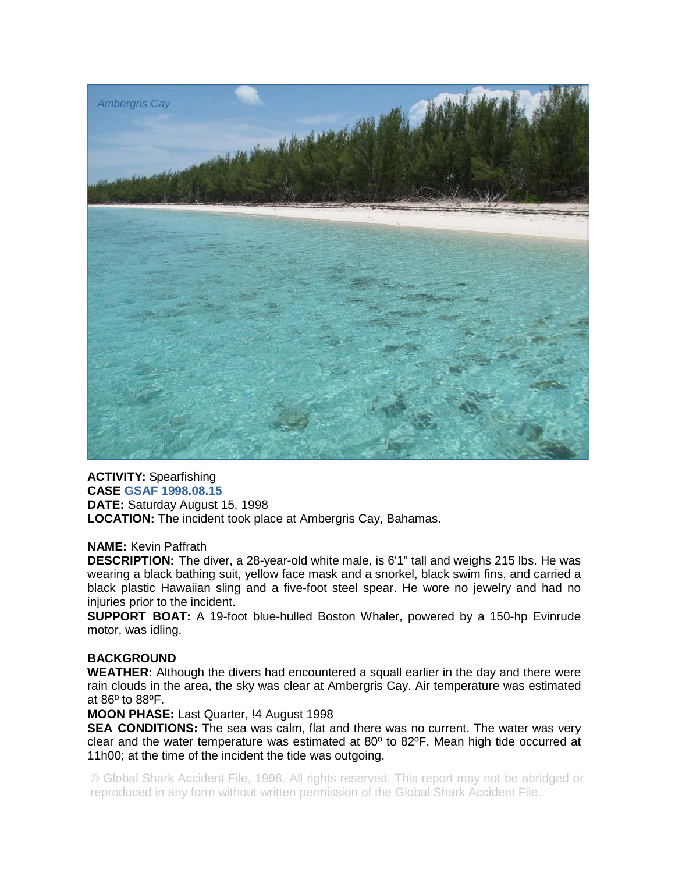

**ACTIVITY:** Spearfishing **CASE GSAF 1998.08.15 DATE:** Saturday August 15, 1998 **LOCATION:** The incident took place at Ambergris Cay, Bahamas.

## **NAME:** Kevin Paffrath

**DESCRIPTION:** The diver, a 28-year-old white male, is 6'1" tall and weighs 215 lbs. He was wearing a black bathing suit, yellow face mask and a snorkel, black swim fins, and carried a black plastic Hawaiian sling and a five-foot steel spear. He wore no jewelry and had no injuries prior to the incident.

**SUPPORT BOAT:** A 19-foot blue-hulled Boston Whaler, powered by a 150-hp Evinrude motor, was idling.

## **BACKGROUND**

**WEATHER:** Although the divers had encountered a squall earlier in the day and there were rain clouds in the area, the sky was clear at Ambergris Cay. Air temperature was estimated at 86º to 88ºF.

**MOON PHASE:** Last Quarter, !4 August 1998

**SEA CONDITIONS:** The sea was calm, flat and there was no current. The water was very clear and the water temperature was estimated at  $80^{\circ}$  to  $82^{\circ}$ F. Mean high tide occurred at 11h00; at the time of the incident the tide was outgoing.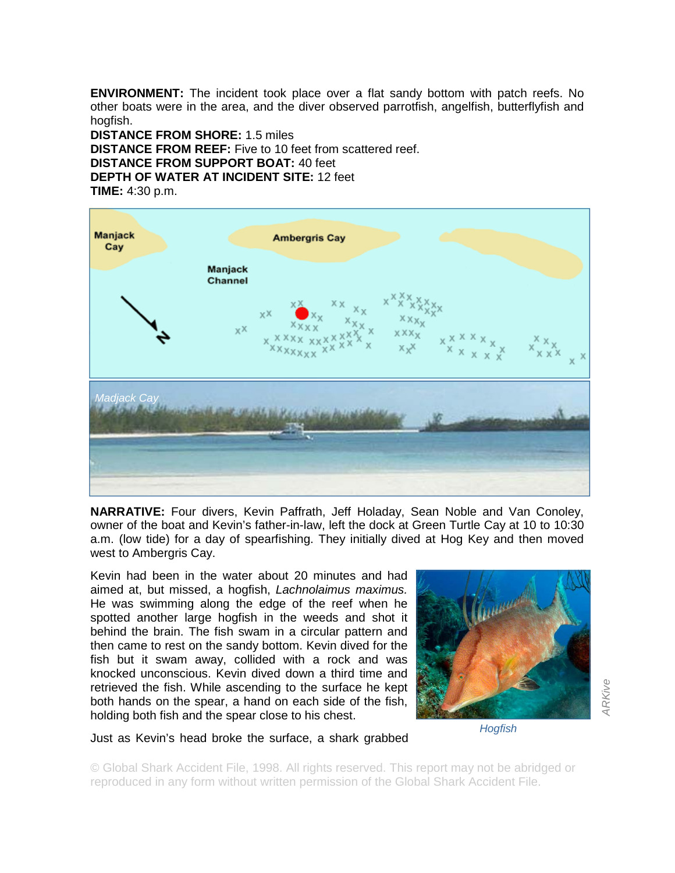**ENVIRONMENT:** The incident took place over a flat sandy bottom with patch reefs. No other boats were in the area, and the diver observed parrotfish, angelfish, butterflyfish and hogfish.

**DISTANCE FROM SHORE:** 1.5 miles **DISTANCE FROM REEF:** Five to 10 feet from scattered reef. **DISTANCE FROM SUPPORT BOAT:** 40 feet **DEPTH OF WATER AT INCIDENT SITE:** 12 feet **TIME:** 4:30 p.m.



**NARRATIVE:** Four divers, Kevin Paffrath, Jeff Holaday, Sean Noble and Van Conoley, owner of the boat and Kevin's father-in-law, left the dock at Green Turtle Cay at 10 to 10:30 a.m. (low tide) for a day of spearfishing. They initially dived at Hog Key and then moved west to Ambergris Cay.

Kevin had been in the water about 20 minutes and had aimed at, but missed, a hogfish, *Lachnolaimus maximus.*  He was swimming along the edge of the reef when he spotted another large hogfish in the weeds and shot it behind the brain. The fish swam in a circular pattern and then came to rest on the sandy bottom. Kevin dived for the fish but it swam away, collided with a rock and was knocked unconscious. Kevin dived down a third time and retrieved the fish. While ascending to the surface he kept both hands on the spear, a hand on each side of the fish, holding both fish and the spear close to his chest.



*ARKive* 

Just as Kevin's head broke the surface, a shark grabbed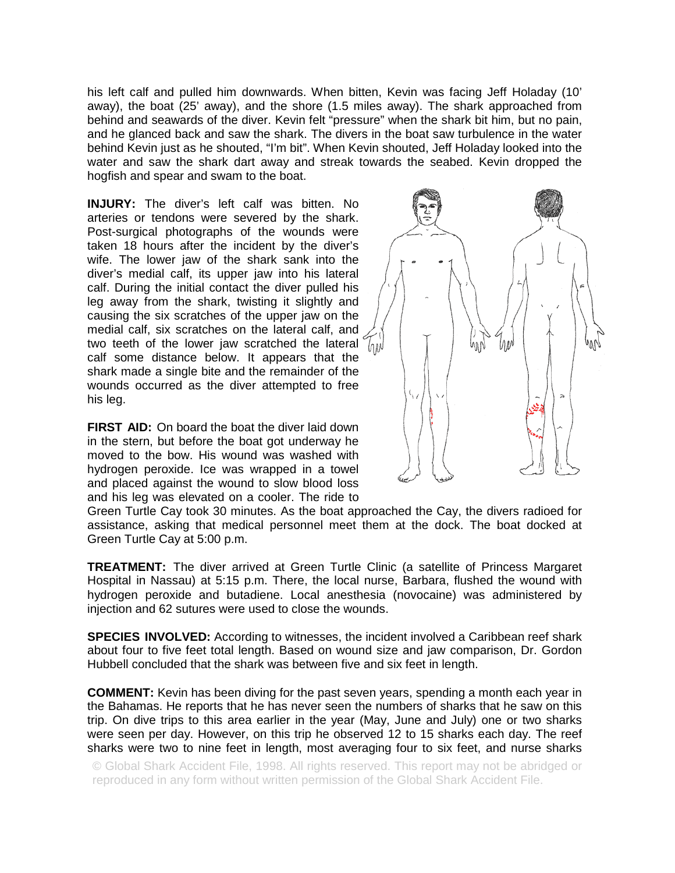his left calf and pulled him downwards. When bitten, Kevin was facing Jeff Holaday (10' away), the boat (25' away), and the shore (1.5 miles away). The shark approached from behind and seawards of the diver. Kevin felt "pressure" when the shark bit him, but no pain, and he glanced back and saw the shark. The divers in the boat saw turbulence in the water behind Kevin just as he shouted, "I'm bit". When Kevin shouted, Jeff Holaday looked into the water and saw the shark dart away and streak towards the seabed. Kevin dropped the hogfish and spear and swam to the boat.

**INJURY:** The diver's left calf was bitten. No arteries or tendons were severed by the shark. Post-surgical photographs of the wounds were taken 18 hours after the incident by the diver's wife. The lower jaw of the shark sank into the diver's medial calf, its upper jaw into his lateral calf. During the initial contact the diver pulled his leg away from the shark, twisting it slightly and causing the six scratches of the upper jaw on the medial calf, six scratches on the lateral calf, and two teeth of the lower jaw scratched the lateral calf some distance below. It appears that the shark made a single bite and the remainder of the wounds occurred as the diver attempted to free his leg.

**FIRST AID:** On board the boat the diver laid down in the stern, but before the boat got underway he moved to the bow. His wound was washed with hydrogen peroxide. Ice was wrapped in a towel and placed against the wound to slow blood loss and his leg was elevated on a cooler. The ride to



Green Turtle Cay took 30 minutes. As the boat approached the Cay, the divers radioed for assistance, asking that medical personnel meet them at the dock. The boat docked at Green Turtle Cay at 5:00 p.m.

**TREATMENT:** The diver arrived at Green Turtle Clinic (a satellite of Princess Margaret Hospital in Nassau) at 5:15 p.m. There, the local nurse, Barbara, flushed the wound with hydrogen peroxide and butadiene. Local anesthesia (novocaine) was administered by injection and 62 sutures were used to close the wounds.

**SPECIES INVOLVED:** According to witnesses, the incident involved a Caribbean reef shark about four to five feet total length. Based on wound size and jaw comparison, Dr. Gordon Hubbell concluded that the shark was between five and six feet in length.

**COMMENT:** Kevin has been diving for the past seven years, spending a month each year in the Bahamas. He reports that he has never seen the numbers of sharks that he saw on this trip. On dive trips to this area earlier in the year (May, June and July) one or two sharks were seen per day. However, on this trip he observed 12 to 15 sharks each day. The reef sharks were two to nine feet in length, most averaging four to six feet, and nurse sharks